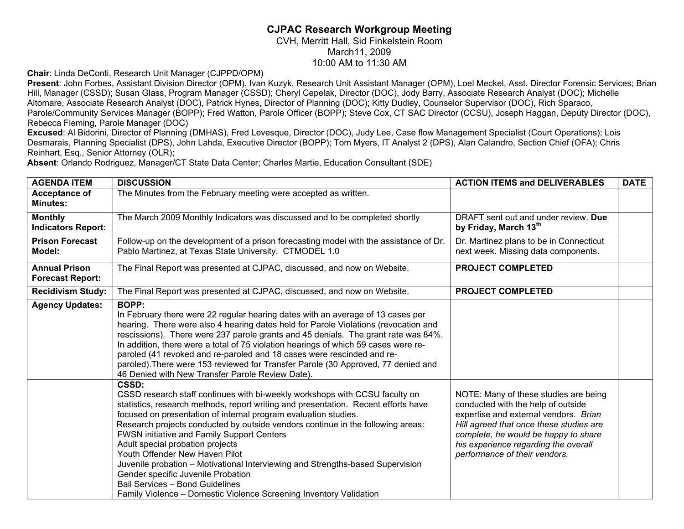## **CJPAC Research Workgroup Meeting**

CVH, Merritt Hall, Sid Finkelstein Room March11, 2009

10:00 AM to 11:30 AM

**Chair**: Linda DeConti, Research Unit Manager (CJPPD/OPM)

**Present**: John Forbes, Assistant Division Director (OPM), Ivan Kuzyk, Research Unit Assistant Manager (OPM), Loel Meckel, Asst. Director Forensic Services; Brian Hill, Manager (CSSD); Susan Glass, Program Manager (CSSD); Cheryl Cepelak, Director (DOC), Jody Barry, Associate Research Analyst (DOC); Michelle Altomare, Associate Research Analyst (DOC), Patrick Hynes, Director of Planning (DOC); Kitty Dudley, Counselor Supervisor (DOC), Rich Sparaco, Parole/Community Services Manager (BOPP); Fred Watton, Parole Officer (BOPP); Steve Cox, CT SAC Director (CCSU), Joseph Haggan, Deputy Director (DOC), Rebecca Fleming, Parole Manager (DOC)

**Excused**: Al Bidorini, Director of Planning (DMHAS), Fred Levesque, Director (DOC), Judy Lee, Case flow Management Specialist (Court Operations); Lois Desmarais, Planning Specialist (DPS), John Lahda, Executive Director (BOPP); Tom Myers, IT Analyst 2 (DPS), Alan Calandro, Section Chief (OFA); Chris Reinhart, Esq., Senior Attorney (OLR);

**Absent**: Orlando Rodriguez, Manager/CT State Data Center; Charles Martie, Education Consultant (SDE)

| <b>AGENDA ITEM</b>                              | <b>DISCUSSION</b>                                                                                                                                                                                                                                                                                                                                                                                                                                                                                                                                                                                                                                                                     | <b>ACTION ITEMS and DELIVERABLES</b>                                                                                                                                                                                                                                             | <b>DATE</b> |
|-------------------------------------------------|---------------------------------------------------------------------------------------------------------------------------------------------------------------------------------------------------------------------------------------------------------------------------------------------------------------------------------------------------------------------------------------------------------------------------------------------------------------------------------------------------------------------------------------------------------------------------------------------------------------------------------------------------------------------------------------|----------------------------------------------------------------------------------------------------------------------------------------------------------------------------------------------------------------------------------------------------------------------------------|-------------|
| Acceptance of<br><b>Minutes:</b>                | The Minutes from the February meeting were accepted as written.                                                                                                                                                                                                                                                                                                                                                                                                                                                                                                                                                                                                                       |                                                                                                                                                                                                                                                                                  |             |
| <b>Monthly</b><br><b>Indicators Report:</b>     | The March 2009 Monthly Indicators was discussed and to be completed shortly                                                                                                                                                                                                                                                                                                                                                                                                                                                                                                                                                                                                           | DRAFT sent out and under review. Due<br>by Friday, March 13th                                                                                                                                                                                                                    |             |
| <b>Prison Forecast</b><br>Model:                | Follow-up on the development of a prison forecasting model with the assistance of Dr.<br>Pablo Martinez, at Texas State University. CTMODEL 1.0                                                                                                                                                                                                                                                                                                                                                                                                                                                                                                                                       | Dr. Martinez plans to be in Connecticut<br>next week. Missing data components.                                                                                                                                                                                                   |             |
| <b>Annual Prison</b><br><b>Forecast Report:</b> | The Final Report was presented at CJPAC, discussed, and now on Website.                                                                                                                                                                                                                                                                                                                                                                                                                                                                                                                                                                                                               | <b>PROJECT COMPLETED</b>                                                                                                                                                                                                                                                         |             |
| <b>Recidivism Study:</b>                        | The Final Report was presented at CJPAC, discussed, and now on Website.                                                                                                                                                                                                                                                                                                                                                                                                                                                                                                                                                                                                               | <b>PROJECT COMPLETED</b>                                                                                                                                                                                                                                                         |             |
| <b>Agency Updates:</b>                          | <b>BOPP:</b><br>In February there were 22 regular hearing dates with an average of 13 cases per<br>hearing. There were also 4 hearing dates held for Parole Violations (revocation and<br>rescissions). There were 237 parole grants and 45 denials. The grant rate was 84%.<br>In addition, there were a total of 75 violation hearings of which 59 cases were re-<br>paroled (41 revoked and re-paroled and 18 cases were rescinded and re-<br>paroled). There were 153 reviewed for Transfer Parole (30 Approved, 77 denied and<br>46 Denied with New Transfer Parole Review Date).                                                                                                |                                                                                                                                                                                                                                                                                  |             |
|                                                 | CSSD:<br>CSSD research staff continues with bi-weekly workshops with CCSU faculty on<br>statistics, research methods, report writing and presentation. Recent efforts have<br>focused on presentation of internal program evaluation studies.<br>Research projects conducted by outside vendors continue in the following areas:<br>FWSN initiative and Family Support Centers<br>Adult special probation projects<br>Youth Offender New Haven Pilot<br>Juvenile probation - Motivational Interviewing and Strengths-based Supervision<br>Gender specific Juvenile Probation<br>Bail Services - Bond Guidelines<br>Family Violence - Domestic Violence Screening Inventory Validation | NOTE: Many of these studies are being<br>conducted with the help of outside<br>expertise and external vendors. Brian<br>Hill agreed that once these studies are<br>complete, he would be happy to share<br>his experience regarding the overall<br>performance of their vendors. |             |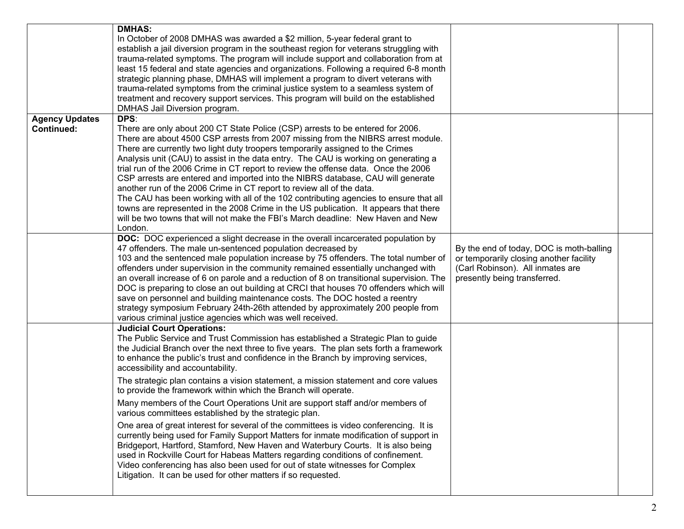|                                            | <b>DMHAS:</b><br>In October of 2008 DMHAS was awarded a \$2 million, 5-year federal grant to<br>establish a jail diversion program in the southeast region for veterans struggling with<br>trauma-related symptoms. The program will include support and collaboration from at<br>least 15 federal and state agencies and organizations. Following a required 6-8 month<br>strategic planning phase, DMHAS will implement a program to divert veterans with<br>trauma-related symptoms from the criminal justice system to a seamless system of<br>treatment and recovery support services. This program will build on the established<br>DMHAS Jail Diversion program.                                                                                                                                                                                                               |                                                                                                                                                         |  |
|--------------------------------------------|---------------------------------------------------------------------------------------------------------------------------------------------------------------------------------------------------------------------------------------------------------------------------------------------------------------------------------------------------------------------------------------------------------------------------------------------------------------------------------------------------------------------------------------------------------------------------------------------------------------------------------------------------------------------------------------------------------------------------------------------------------------------------------------------------------------------------------------------------------------------------------------|---------------------------------------------------------------------------------------------------------------------------------------------------------|--|
| <b>Agency Updates</b><br><b>Continued:</b> | DPS:<br>There are only about 200 CT State Police (CSP) arrests to be entered for 2006.<br>There are about 4500 CSP arrests from 2007 missing from the NIBRS arrest module.<br>There are currently two light duty troopers temporarily assigned to the Crimes<br>Analysis unit (CAU) to assist in the data entry. The CAU is working on generating a<br>trial run of the 2006 Crime in CT report to review the offense data. Once the 2006<br>CSP arrests are entered and imported into the NIBRS database, CAU will generate<br>another run of the 2006 Crime in CT report to review all of the data.<br>The CAU has been working with all of the 102 contributing agencies to ensure that all<br>towns are represented in the 2008 Crime in the US publication. It appears that there<br>will be two towns that will not make the FBI's March deadline: New Haven and New<br>London. |                                                                                                                                                         |  |
|                                            | <b>DOC:</b> DOC experienced a slight decrease in the overall incarcerated population by<br>47 offenders. The male un-sentenced population decreased by<br>103 and the sentenced male population increase by 75 offenders. The total number of<br>offenders under supervision in the community remained essentially unchanged with<br>an overall increase of 6 on parole and a reduction of 8 on transitional supervision. The<br>DOC is preparing to close an out building at CRCI that houses 70 offenders which will<br>save on personnel and building maintenance costs. The DOC hosted a reentry<br>strategy symposium February 24th-26th attended by approximately 200 people from<br>various criminal justice agencies which was well received.                                                                                                                                 | By the end of today, DOC is moth-balling<br>or temporarily closing another facility<br>(Carl Robinson). All inmates are<br>presently being transferred. |  |
|                                            | <b>Judicial Court Operations:</b><br>The Public Service and Trust Commission has established a Strategic Plan to guide<br>the Judicial Branch over the next three to five years. The plan sets forth a framework<br>to enhance the public's trust and confidence in the Branch by improving services,<br>accessibility and accountability.                                                                                                                                                                                                                                                                                                                                                                                                                                                                                                                                            |                                                                                                                                                         |  |
|                                            | The strategic plan contains a vision statement, a mission statement and core values<br>to provide the framework within which the Branch will operate.                                                                                                                                                                                                                                                                                                                                                                                                                                                                                                                                                                                                                                                                                                                                 |                                                                                                                                                         |  |
|                                            | Many members of the Court Operations Unit are support staff and/or members of<br>various committees established by the strategic plan.                                                                                                                                                                                                                                                                                                                                                                                                                                                                                                                                                                                                                                                                                                                                                |                                                                                                                                                         |  |
|                                            | One area of great interest for several of the committees is video conferencing. It is<br>currently being used for Family Support Matters for inmate modification of support in<br>Bridgeport, Hartford, Stamford, New Haven and Waterbury Courts. It is also being<br>used in Rockville Court for Habeas Matters regarding conditions of confinement.<br>Video conferencing has also been used for out of state witnesses for Complex<br>Litigation. It can be used for other matters if so requested.                                                                                                                                                                                                                                                                                                                                                                                |                                                                                                                                                         |  |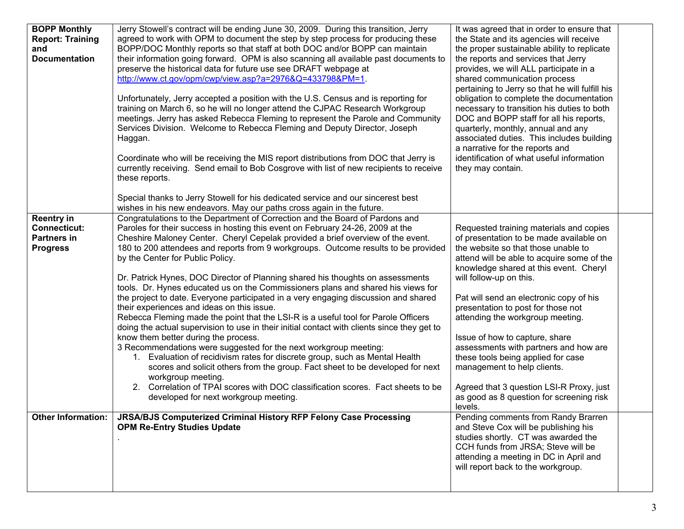| <b>BOPP Monthly</b><br><b>Report: Training</b><br>and<br><b>Documentation</b>     | Jerry Stowell's contract will be ending June 30, 2009. During this transition, Jerry<br>agreed to work with OPM to document the step by step process for producing these<br>BOPP/DOC Monthly reports so that staff at both DOC and/or BOPP can maintain<br>their information going forward. OPM is also scanning all available past documents to<br>preserve the historical data for future use see DRAFT webpage at<br>http://www.ct.gov/opm/cwp/view.asp?a=2976&Q=433798&PM=1.<br>Unfortunately, Jerry accepted a position with the U.S. Census and is reporting for<br>training on March 6, so he will no longer attend the CJPAC Research Workgroup<br>meetings. Jerry has asked Rebecca Fleming to represent the Parole and Community<br>Services Division. Welcome to Rebecca Fleming and Deputy Director, Joseph<br>Haggan.<br>Coordinate who will be receiving the MIS report distributions from DOC that Jerry is<br>currently receiving. Send email to Bob Cosgrove with list of new recipients to receive<br>these reports.                                                                                                                                                                                                                                                                                                                                             | It was agreed that in order to ensure that<br>the State and its agencies will receive<br>the proper sustainable ability to replicate<br>the reports and services that Jerry<br>provides, we will ALL participate in a<br>shared communication process<br>pertaining to Jerry so that he will fulfill his<br>obligation to complete the documentation<br>necessary to transition his duties to both<br>DOC and BOPP staff for all his reports,<br>quarterly, monthly, annual and any<br>associated duties. This includes building<br>a narrative for the reports and<br>identification of what useful information<br>they may contain. |  |
|-----------------------------------------------------------------------------------|------------------------------------------------------------------------------------------------------------------------------------------------------------------------------------------------------------------------------------------------------------------------------------------------------------------------------------------------------------------------------------------------------------------------------------------------------------------------------------------------------------------------------------------------------------------------------------------------------------------------------------------------------------------------------------------------------------------------------------------------------------------------------------------------------------------------------------------------------------------------------------------------------------------------------------------------------------------------------------------------------------------------------------------------------------------------------------------------------------------------------------------------------------------------------------------------------------------------------------------------------------------------------------------------------------------------------------------------------------------------------------|---------------------------------------------------------------------------------------------------------------------------------------------------------------------------------------------------------------------------------------------------------------------------------------------------------------------------------------------------------------------------------------------------------------------------------------------------------------------------------------------------------------------------------------------------------------------------------------------------------------------------------------|--|
|                                                                                   | Special thanks to Jerry Stowell for his dedicated service and our sincerest best                                                                                                                                                                                                                                                                                                                                                                                                                                                                                                                                                                                                                                                                                                                                                                                                                                                                                                                                                                                                                                                                                                                                                                                                                                                                                                   |                                                                                                                                                                                                                                                                                                                                                                                                                                                                                                                                                                                                                                       |  |
| <b>Reentry in</b><br><b>Connecticut:</b><br><b>Partners in</b><br><b>Progress</b> | wishes in his new endeavors. May our paths cross again in the future.<br>Congratulations to the Department of Correction and the Board of Pardons and<br>Paroles for their success in hosting this event on February 24-26, 2009 at the<br>Cheshire Maloney Center. Cheryl Cepelak provided a brief overview of the event.<br>180 to 200 attendees and reports from 9 workgroups. Outcome results to be provided<br>by the Center for Public Policy.<br>Dr. Patrick Hynes, DOC Director of Planning shared his thoughts on assessments<br>tools. Dr. Hynes educated us on the Commissioners plans and shared his views for<br>the project to date. Everyone participated in a very engaging discussion and shared<br>their experiences and ideas on this issue.<br>Rebecca Fleming made the point that the LSI-R is a useful tool for Parole Officers<br>doing the actual supervision to use in their initial contact with clients since they get to<br>know them better during the process.<br>3 Recommendations were suggested for the next workgroup meeting:<br>1. Evaluation of recidivism rates for discrete group, such as Mental Health<br>scores and solicit others from the group. Fact sheet to be developed for next<br>workgroup meeting.<br>2. Correlation of TPAI scores with DOC classification scores. Fact sheets to be<br>developed for next workgroup meeting. | Requested training materials and copies<br>of presentation to be made available on<br>the website so that those unable to<br>attend will be able to acquire some of the<br>knowledge shared at this event. Cheryl<br>will follow-up on this.<br>Pat will send an electronic copy of his<br>presentation to post for those not<br>attending the workgroup meeting.<br>Issue of how to capture, share<br>assessments with partners and how are<br>these tools being applied for case<br>management to help clients.<br>Agreed that 3 question LSI-R Proxy, just<br>as good as 8 question for screening risk<br>levels.                  |  |
| <b>Other Information:</b>                                                         | JRSA/BJS Computerized Criminal History RFP Felony Case Processing<br><b>OPM Re-Entry Studies Update</b>                                                                                                                                                                                                                                                                                                                                                                                                                                                                                                                                                                                                                                                                                                                                                                                                                                                                                                                                                                                                                                                                                                                                                                                                                                                                            | Pending comments from Randy Brarren<br>and Steve Cox will be publishing his<br>studies shortly. CT was awarded the<br>CCH funds from JRSA; Steve will be<br>attending a meeting in DC in April and<br>will report back to the workgroup.                                                                                                                                                                                                                                                                                                                                                                                              |  |